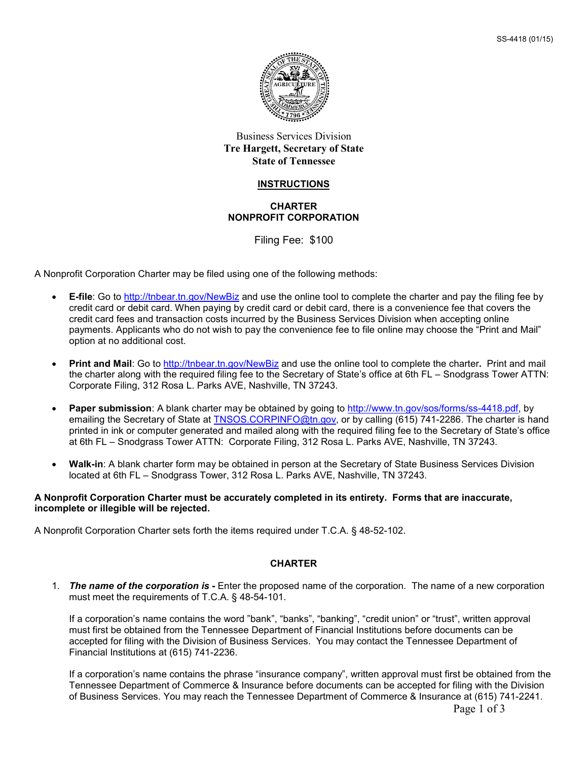

# Business Services Division **Tre Hargett, Secretary of State State of Tennessee**

#### **INSTRUCTIONS**

### **CHARTER NONPROFIT CORPORATION**

Filing Fee: \$100

A Nonprofit Corporation Charter may be filed using one of the following methods:

- **E-file**: Go to<http://tnbear.tn.gov/NewBiz> and use the online tool to complete the charter and pay the filing fee by credit card or debit card. When paying by credit card or debit card, there is a convenience fee that covers the credit card fees and transaction costs incurred by the Business Services Division when accepting online payments. Applicants who do not wish to pay the convenience fee to file online may choose the "Print and Mail" option at no additional cost.
- **Print and Mail**: Go to<http://tnbear.tn.gov/NewBiz> and use the online tool to complete the charter**.** Print and mail the charter along with the required filing fee to the Secretary of State's office at 6th FL – Snodgrass Tower ATTN: Corporate Filing, 312 Rosa L. Parks AVE, Nashville, TN 37243.
- **Paper submission**: A blank charter may be obtained by going to [http://www.tn.gov/sos/forms/ss-4418.pdf,](http://www.tn.gov/sos/forms/ss-4418.pdf) by emailing the Secretary of State at [TNSOS.CORPINFO@tn.gov,](mailto:TNSOS.CORPINFO@tn.gov) or by calling (615) 741-2286. The charter is hand printed in ink or computer generated and mailed along with the required filing fee to the Secretary of State's office at 6th FL – Snodgrass Tower ATTN: Corporate Filing, 312 Rosa L. Parks AVE, Nashville, TN 37243.
- **Walk-in**: A blank charter form may be obtained in person at the Secretary of State Business Services Division located at 6th FL – Snodgrass Tower, 312 Rosa L. Parks AVE, Nashville, TN 37243.

#### **A Nonprofit Corporation Charter must be accurately completed in its entirety. Forms that are inaccurate, incomplete or illegible will be rejected.**

A Nonprofit Corporation Charter sets forth the items required under T.C.A. § 48-52-102.

# **CHARTER**

1. *The name of the corporation is -* Enter the proposed name of the corporation. The name of a new corporation must meet the requirements of T.C.A. § 48-54-101.

If a corporation's name contains the word "bank", "banks", "banking", "credit union" or "trust", written approval must first be obtained from the Tennessee Department of Financial Institutions before documents can be accepted for filing with the Division of Business Services. You may contact the Tennessee Department of Financial Institutions at (615) 741-2236.

If a corporation's name contains the phrase "insurance company", written approval must first be obtained from the Tennessee Department of Commerce & Insurance before documents can be accepted for filing with the Division of Business Services. You may reach the Tennessee Department of Commerce & Insurance at (615) 741-2241.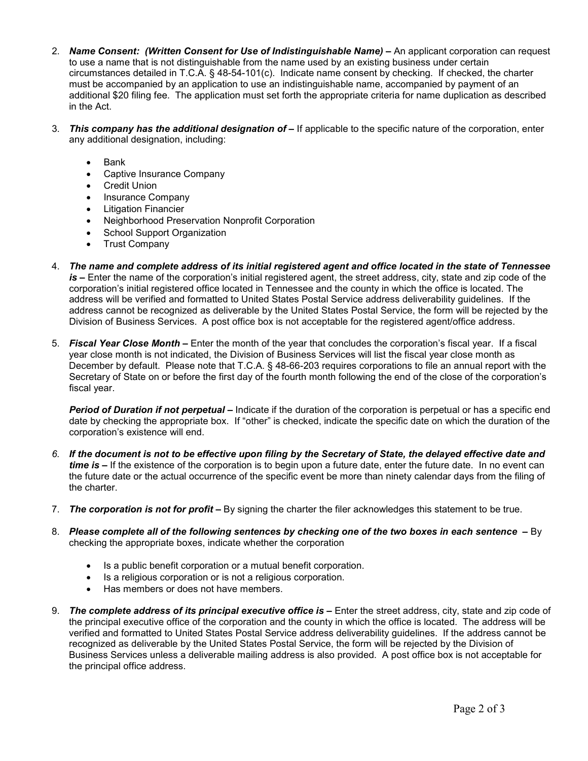- 2. *Name Consent: (Written Consent for Use of Indistinguishable Name) –* An applicant corporation can request to use a name that is not distinguishable from the name used by an existing business under certain circumstances detailed in T.C.A. § 48-54-101(c). Indicate name consent by checking. If checked, the charter must be accompanied by an application to use an indistinguishable name, accompanied by payment of an additional \$20 filing fee. The application must set forth the appropriate criteria for name duplication as described in the Act.
- 3. *This company has the additional designation of –* If applicable to the specific nature of the corporation, enter any additional designation, including:
	- Bank
	- Captive Insurance Company
	- Credit Union
	- Insurance Company
	- Litigation Financier
	- Neighborhood Preservation Nonprofit Corporation
	- School Support Organization
	- Trust Company
- 4. *The name and complete address of its initial registered agent and office located in the state of Tennessee is –* Enter the name of the corporation's initial registered agent, the street address, city, state and zip code of the corporation's initial registered office located in Tennessee and the county in which the office is located. The address will be verified and formatted to United States Postal Service address deliverability guidelines. If the address cannot be recognized as deliverable by the United States Postal Service, the form will be rejected by the Division of Business Services. A post office box is not acceptable for the registered agent/office address.
- 5. *Fiscal Year Close Month –* Enter the month of the year that concludes the corporation's fiscal year. If a fiscal year close month is not indicated, the Division of Business Services will list the fiscal year close month as December by default. Please note that T.C.A. § 48-66-203 requires corporations to file an annual report with the Secretary of State on or before the first day of the fourth month following the end of the close of the corporation's fiscal year.

*Period of Duration if not perpetual –* Indicate if the duration of the corporation is perpetual or has a specific end date by checking the appropriate box. If "other" is checked, indicate the specific date on which the duration of the corporation's existence will end.

- *6. If the document is not to be effective upon filing by the Secretary of State, the delayed effective date and time is –* If the existence of the corporation is to begin upon a future date, enter the future date. In no event can the future date or the actual occurrence of the specific event be more than ninety calendar days from the filing of the charter.
- 7. *The corporation is not for profit –* By signing the charter the filer acknowledges this statement to be true.
- 8. Please complete all of the following sentences by checking one of the two boxes in each sentence By checking the appropriate boxes, indicate whether the corporation
	- Is a public benefit corporation or a mutual benefit corporation.
	- Is a religious corporation or is not a religious corporation.
	- Has members or does not have members.
- 9. *The complete address of its principal executive office is –* Enter the street address, city, state and zip code of the principal executive office of the corporation and the county in which the office is located. The address will be verified and formatted to United States Postal Service address deliverability guidelines. If the address cannot be recognized as deliverable by the United States Postal Service, the form will be rejected by the Division of Business Services unless a deliverable mailing address is also provided. A post office box is not acceptable for the principal office address.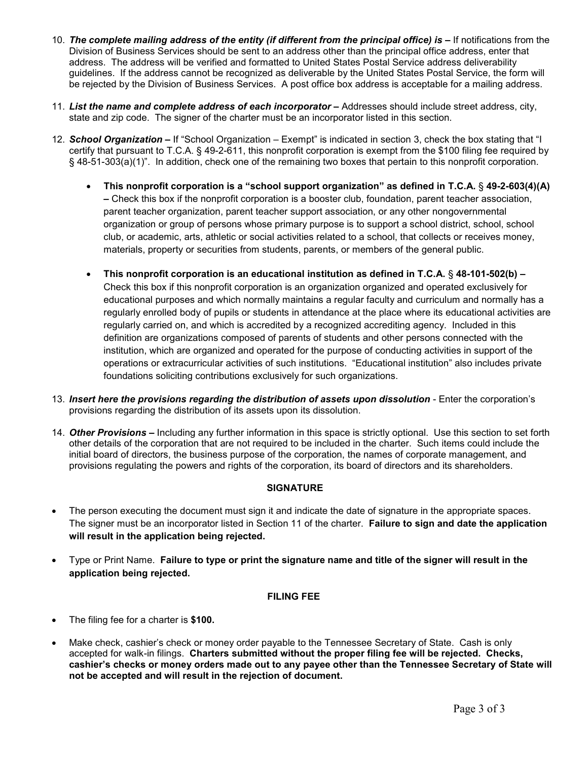- 10. *The complete mailing address of the entity (if different from the principal office) is –* If notifications from the Division of Business Services should be sent to an address other than the principal office address, enter that address. The address will be verified and formatted to United States Postal Service address deliverability guidelines. If the address cannot be recognized as deliverable by the United States Postal Service, the form will be rejected by the Division of Business Services. A post office box address is acceptable for a mailing address.
- 11. *List the name and complete address of each incorporator –* Addresses should include street address, city, state and zip code. The signer of the charter must be an incorporator listed in this section.
- 12. *School Organization* **–** If "School Organization Exempt" is indicated in section 3, check the box stating that "I certify that pursuant to T.C.A. § 49-2-611, this nonprofit corporation is exempt from the \$100 filing fee required by § 48-51-303(a)(1)". In addition, check one of the remaining two boxes that pertain to this nonprofit corporation.
	- **This nonprofit corporation is a "school support organization" as defined in T.C.A.** § **49-2-603(4)(A) –** Check this box if the nonprofit corporation is a booster club, foundation, parent teacher association, parent teacher organization, parent teacher support association, or any other nongovernmental organization or group of persons whose primary purpose is to support a school district, school, school club, or academic, arts, athletic or social activities related to a school, that collects or receives money, materials, property or securities from students, parents, or members of the general public.
	- **This nonprofit corporation is an educational institution as defined in T.C.A.** § **48-101-502(b) –** Check this box if this nonprofit corporation is an organization organized and operated exclusively for educational purposes and which normally maintains a regular faculty and curriculum and normally has a regularly enrolled body of pupils or students in attendance at the place where its educational activities are regularly carried on, and which is accredited by a recognized accrediting agency. Included in this definition are organizations composed of parents of students and other persons connected with the institution, which are organized and operated for the purpose of conducting activities in support of the operations or extracurricular activities of such institutions. "Educational institution" also includes private foundations soliciting contributions exclusively for such organizations.
- 13. *Insert here the provisions regarding the distribution of assets upon dissolution* Enter the corporation's provisions regarding the distribution of its assets upon its dissolution.
- 14. *Other Provisions –* Including any further information in this space is strictly optional. Use this section to set forth other details of the corporation that are not required to be included in the charter. Such items could include the initial board of directors, the business purpose of the corporation, the names of corporate management, and provisions regulating the powers and rights of the corporation, its board of directors and its shareholders.

# **SIGNATURE**

- The person executing the document must sign it and indicate the date of signature in the appropriate spaces. The signer must be an incorporator listed in Section 11 of the charter. **Failure to sign and date the application will result in the application being rejected.**
- Type or Print Name. **Failure to type or print the signature name and title of the signer will result in the application being rejected.**

# **FILING FEE**

- The filing fee for a charter is **\$100.**
- Make check, cashier's check or money order payable to the Tennessee Secretary of State. Cash is only accepted for walk-in filings. **Charters submitted without the proper filing fee will be rejected. Checks, cashier's checks or money orders made out to any payee other than the Tennessee Secretary of State will not be accepted and will result in the rejection of document.**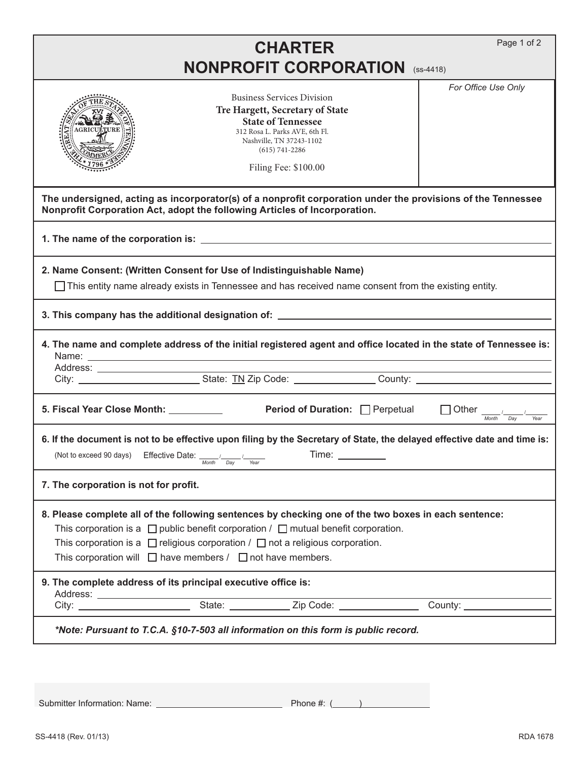|                                                                                                                                                                                                                                                                                                                                                                          |                      | <b>CHARTER</b>                                                                                                                                                                                                |  | Page 1 of 2                                                                                                              |  |
|--------------------------------------------------------------------------------------------------------------------------------------------------------------------------------------------------------------------------------------------------------------------------------------------------------------------------------------------------------------------------|----------------------|---------------------------------------------------------------------------------------------------------------------------------------------------------------------------------------------------------------|--|--------------------------------------------------------------------------------------------------------------------------|--|
| <b>NONPROFIT CORPORATION (SS-4418)</b>                                                                                                                                                                                                                                                                                                                                   |                      |                                                                                                                                                                                                               |  |                                                                                                                          |  |
|                                                                                                                                                                                                                                                                                                                                                                          |                      | <b>Business Services Division</b><br>Tre Hargett, Secretary of State<br><b>State of Tennessee</b><br>312 Rosa L. Parks AVE, 6th Fl.<br>Nashville, TN 37243-1102<br>$(615) 741 - 2286$<br>Filing Fee: \$100.00 |  | For Office Use Only                                                                                                      |  |
| The undersigned, acting as incorporator(s) of a nonprofit corporation under the provisions of the Tennessee<br>Nonprofit Corporation Act, adopt the following Articles of Incorporation.                                                                                                                                                                                 |                      |                                                                                                                                                                                                               |  |                                                                                                                          |  |
|                                                                                                                                                                                                                                                                                                                                                                          |                      |                                                                                                                                                                                                               |  |                                                                                                                          |  |
| 2. Name Consent: (Written Consent for Use of Indistinguishable Name)<br>$\Box$ This entity name already exists in Tennessee and has received name consent from the existing entity.                                                                                                                                                                                      |                      |                                                                                                                                                                                                               |  |                                                                                                                          |  |
| 3. This company has the additional designation of: Network Community Community Community Community Community C                                                                                                                                                                                                                                                           |                      |                                                                                                                                                                                                               |  |                                                                                                                          |  |
|                                                                                                                                                                                                                                                                                                                                                                          |                      |                                                                                                                                                                                                               |  | 4. The name and complete address of the initial registered agent and office located in the state of Tennessee is:        |  |
| 5. Fiscal Year Close Month: ___________                                                                                                                                                                                                                                                                                                                                  |                      | Period of Duration: Perpetual                                                                                                                                                                                 |  | $\Box$ Other $\frac{1}{\sqrt{m}}$<br>Day<br>Year                                                                         |  |
| (Not to exceed 90 days) Effective Date: $\sqrt{2}$                                                                                                                                                                                                                                                                                                                       | Month<br>Day<br>Year | Time:                                                                                                                                                                                                         |  | 6. If the document is not to be effective upon filing by the Secretary of State, the delayed effective date and time is: |  |
| 7. The corporation is not for profit.                                                                                                                                                                                                                                                                                                                                    |                      |                                                                                                                                                                                                               |  |                                                                                                                          |  |
| 8. Please complete all of the following sentences by checking one of the two boxes in each sentence:<br>This corporation is a $\Box$ public benefit corporation / $\Box$ mutual benefit corporation.<br>This corporation is a $\Box$ religious corporation / $\Box$ not a religious corporation.<br>This corporation will $\Box$ have members / $\Box$ not have members. |                      |                                                                                                                                                                                                               |  |                                                                                                                          |  |
| 9. The complete address of its principal executive office is:                                                                                                                                                                                                                                                                                                            |                      |                                                                                                                                                                                                               |  |                                                                                                                          |  |
|                                                                                                                                                                                                                                                                                                                                                                          |                      |                                                                                                                                                                                                               |  |                                                                                                                          |  |
| *Note: Pursuant to T.C.A. §10-7-503 all information on this form is public record.                                                                                                                                                                                                                                                                                       |                      |                                                                                                                                                                                                               |  |                                                                                                                          |  |
|                                                                                                                                                                                                                                                                                                                                                                          |                      |                                                                                                                                                                                                               |  |                                                                                                                          |  |

Submitter Information: Name: Phone #: ( )